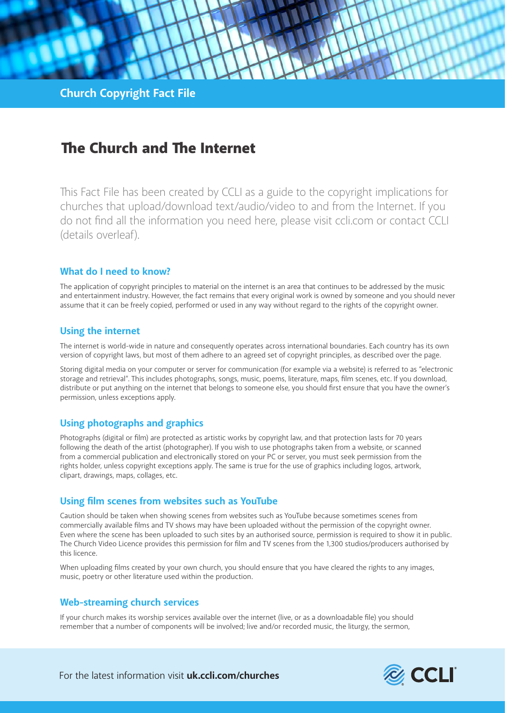# The Church and The Internet

This Fact File has been created by CCLI as a guide to the copyright implications for churches that upload/download text/audio/video to and from the Internet. If you do not find all the information you need here, please visit ccli.com or contact CCLI (details overleaf).

### **What do I need to know?**

The application of copyright principles to material on the internet is an area that continues to be addressed by the music and entertainment industry. However, the fact remains that every original work is owned by someone and you should never assume that it can be freely copied, performed or used in any way without regard to the rights of the copyright owner.

## **Using the internet**

The internet is world-wide in nature and consequently operates across international boundaries. Each country has its own version of copyright laws, but most of them adhere to an agreed set of copyright principles, as described over the page.

Storing digital media on your computer or server for communication (for example via a website) is referred to as "electronic storage and retrieval". This includes photographs, songs, music, poems, literature, maps, film scenes, etc. If you download, distribute or put anything on the internet that belongs to someone else, you should first ensure that you have the owner's permission, unless exceptions apply.

## **Using photographs and graphics**

Photographs (digital or film) are protected as artistic works by copyright law, and that protection lasts for 70 years following the death of the artist (photographer). If you wish to use photographs taken from a website, or scanned from a commercial publication and electronically stored on your PC or server, you must seek permission from the rights holder, unless copyright exceptions apply. The same is true for the use of graphics including logos, artwork, clipart, drawings, maps, collages, etc.

## **Using film scenes from websites such as YouTube**

Caution should be taken when showing scenes from websites such as YouTube because sometimes scenes from commercially available films and TV shows may have been uploaded without the permission of the copyright owner. Even where the scene has been uploaded to such sites by an authorised source, permission is required to show it in public. The Church Video Licence provides this permission for film and TV scenes from the 1,300 studios/producers authorised by this licence.

When uploading films created by your own church, you should ensure that you have cleared the rights to any images, music, poetry or other literature used within the production.

#### **Web-streaming church services**

If your church makes its worship services available over the internet (live, or as a downloadable file) you should remember that a number of components will be involved; live and/or recorded music, the liturgy, the sermon,